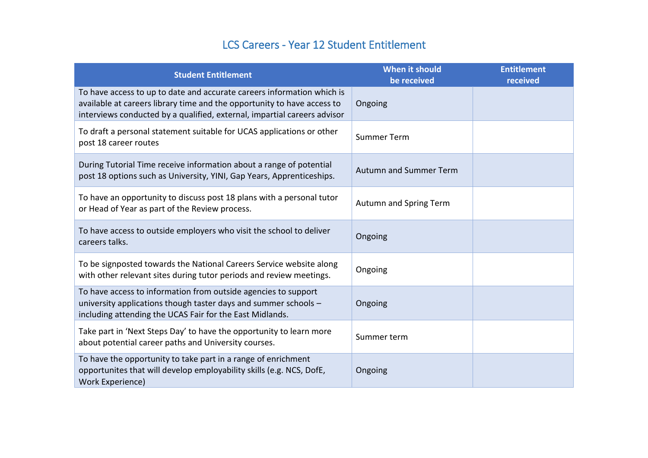## LCS Careers - Year 12 Student Entitlement

| <b>Student Entitlement</b>                                                                                                                                                                                                    | <b>When it should</b><br>be received | <b>Entitlement</b><br>received |
|-------------------------------------------------------------------------------------------------------------------------------------------------------------------------------------------------------------------------------|--------------------------------------|--------------------------------|
| To have access to up to date and accurate careers information which is<br>available at careers library time and the opportunity to have access to<br>interviews conducted by a qualified, external, impartial careers advisor | Ongoing                              |                                |
| To draft a personal statement suitable for UCAS applications or other<br>post 18 career routes                                                                                                                                | <b>Summer Term</b>                   |                                |
| During Tutorial Time receive information about a range of potential<br>post 18 options such as University, YINI, Gap Years, Apprenticeships.                                                                                  | <b>Autumn and Summer Term</b>        |                                |
| To have an opportunity to discuss post 18 plans with a personal tutor<br>or Head of Year as part of the Review process.                                                                                                       | Autumn and Spring Term               |                                |
| To have access to outside employers who visit the school to deliver<br>careers talks.                                                                                                                                         | Ongoing                              |                                |
| To be signposted towards the National Careers Service website along<br>with other relevant sites during tutor periods and review meetings.                                                                                    | Ongoing                              |                                |
| To have access to information from outside agencies to support<br>university applications though taster days and summer schools -<br>including attending the UCAS Fair for the East Midlands.                                 | Ongoing                              |                                |
| Take part in 'Next Steps Day' to have the opportunity to learn more<br>about potential career paths and University courses.                                                                                                   | Summer term                          |                                |
| To have the opportunity to take part in a range of enrichment<br>opportunites that will develop employability skills (e.g. NCS, DofE,<br>Work Experience)                                                                     | Ongoing                              |                                |